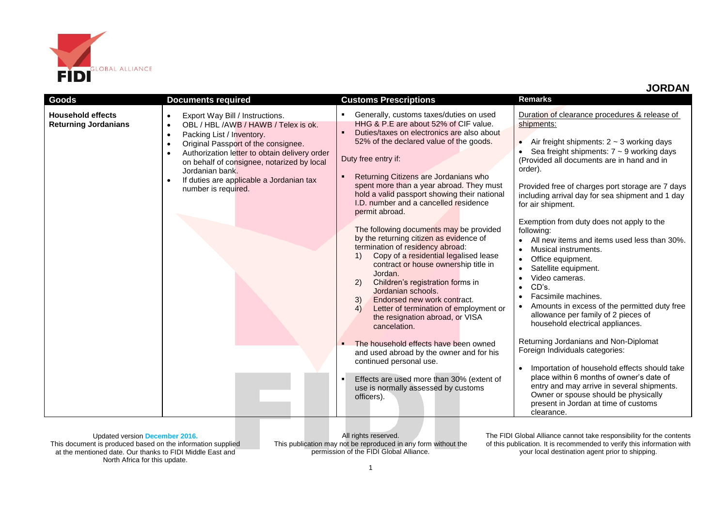

| <b>Goods</b>                                            | <b>Documents required</b>                                                                                                                                                                                                                                                                                                                                                                                      | <b>Customs Prescriptions</b>                                                                                                                                                                                                                                                                                                                                                                                                                                                                                                                                                                                                                                                                                                                                                                                                                                                                                                                                                                                                                                                                     | <b>Remarks</b>                                                                                                                                                                                                                                                                                                                                                                                                                                                                                                                                                                                                                                                                                                                                                                                                                                                                                                                                                                  |  |
|---------------------------------------------------------|----------------------------------------------------------------------------------------------------------------------------------------------------------------------------------------------------------------------------------------------------------------------------------------------------------------------------------------------------------------------------------------------------------------|--------------------------------------------------------------------------------------------------------------------------------------------------------------------------------------------------------------------------------------------------------------------------------------------------------------------------------------------------------------------------------------------------------------------------------------------------------------------------------------------------------------------------------------------------------------------------------------------------------------------------------------------------------------------------------------------------------------------------------------------------------------------------------------------------------------------------------------------------------------------------------------------------------------------------------------------------------------------------------------------------------------------------------------------------------------------------------------------------|---------------------------------------------------------------------------------------------------------------------------------------------------------------------------------------------------------------------------------------------------------------------------------------------------------------------------------------------------------------------------------------------------------------------------------------------------------------------------------------------------------------------------------------------------------------------------------------------------------------------------------------------------------------------------------------------------------------------------------------------------------------------------------------------------------------------------------------------------------------------------------------------------------------------------------------------------------------------------------|--|
| <b>Household effects</b><br><b>Returning Jordanians</b> | Export Way Bill / Instructions.<br>$\bullet$<br>OBL / HBL /AWB / HAWB / Telex is ok.<br>$\bullet$<br>Packing List / Inventory.<br>$\bullet$<br>Original Passport of the consignee.<br>$\bullet$<br>Authorization letter to obtain delivery order<br>$\bullet$<br>on behalf of consignee, notarized by local<br>Jordanian bank.<br>If duties are applicable a Jordanian tax<br>$\bullet$<br>number is required. | Generally, customs taxes/duties on used<br>п.<br>HHG & P.E are about 52% of CIF value.<br>$\blacksquare$<br>Duties/taxes on electronics are also about<br>52% of the declared value of the goods.<br>Duty free entry if:<br>Returning Citizens are Jordanians who<br>spent more than a year abroad. They must<br>hold a valid passport showing their national<br>I.D. number and a cancelled residence<br>permit abroad.<br>The following documents may be provided<br>by the returning citizen as evidence of<br>termination of residency abroad:<br>Copy of a residential legalised lease<br>1)<br>contract or house ownership title in<br>Jordan.<br>Children's registration forms in<br>2)<br>Jordanian schools.<br>Endorsed new work contract.<br>3)<br>Letter of termination of employment or<br>4)<br>the resignation abroad, or VISA<br>cancelation.<br>The household effects have been owned<br>and used abroad by the owner and for his<br>continued personal use.<br>Effects are used more than 30% (extent of<br>$\blacksquare$<br>use is normally assessed by customs<br>officers). | Duration of clearance procedures & release of<br>shipments:<br>Air freight shipments: $2 \sim 3$ working days<br>Sea freight shipments: $7 \sim 9$ working days<br>(Provided all documents are in hand and in<br>order).<br>Provided free of charges port storage are 7 days<br>including arrival day for sea shipment and 1 day<br>for air shipment.<br>Exemption from duty does not apply to the<br>following:<br>All new items and items used less than 30%.<br>Musical instruments.<br>Office equipment.<br>Satellite equipment.<br>Video cameras.<br>CD's.<br>Facsimile machines.<br>Amounts in excess of the permitted duty free<br>allowance per family of 2 pieces of<br>household electrical appliances.<br>Returning Jordanians and Non-Diplomat<br>Foreign Individuals categories:<br>Importation of household effects should take<br>place within 6 months of owner's date of<br>entry and may arrive in several shipments.<br>Owner or spouse should be physically |  |
|                                                         |                                                                                                                                                                                                                                                                                                                                                                                                                |                                                                                                                                                                                                                                                                                                                                                                                                                                                                                                                                                                                                                                                                                                                                                                                                                                                                                                                                                                                                                                                                                                  | present in Jordan at time of customs<br>clearance.                                                                                                                                                                                                                                                                                                                                                                                                                                                                                                                                                                                                                                                                                                                                                                                                                                                                                                                              |  |

Updated version **December 2016.** This document is produced based on the information supplied at the mentioned date. Our thanks to FIDI Middle East and North Africa for this update.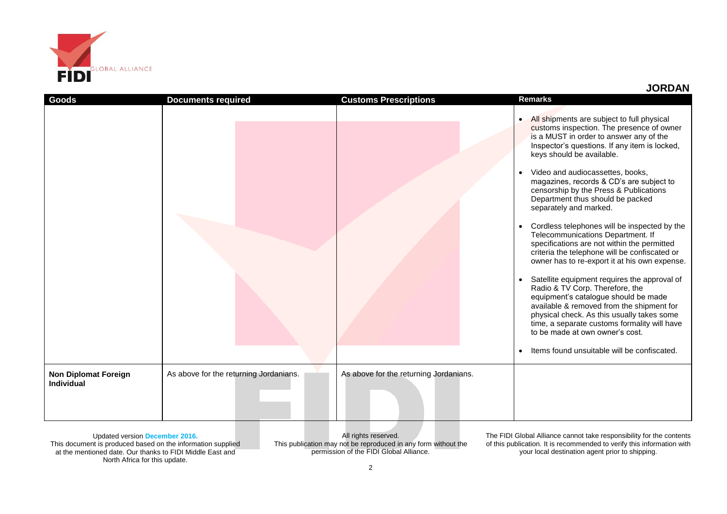

|  |  |  | <b>JORDAN</b> |  |  |  |
|--|--|--|---------------|--|--|--|
|--|--|--|---------------|--|--|--|

| <b>Goods</b>                                     | <b>Documents required</b>              | <b>Customs Prescriptions</b>           | <b>Remarks</b>                                                                                                                                                                                                                                                                                                                                                                                                                                                                                                                                                                                                                                                                                                                                                                                                                                                                                                                                                                                                                                                          |
|--------------------------------------------------|----------------------------------------|----------------------------------------|-------------------------------------------------------------------------------------------------------------------------------------------------------------------------------------------------------------------------------------------------------------------------------------------------------------------------------------------------------------------------------------------------------------------------------------------------------------------------------------------------------------------------------------------------------------------------------------------------------------------------------------------------------------------------------------------------------------------------------------------------------------------------------------------------------------------------------------------------------------------------------------------------------------------------------------------------------------------------------------------------------------------------------------------------------------------------|
|                                                  |                                        |                                        | All shipments are subject to full physical<br>$\bullet$<br>customs inspection. The presence of owner<br>is a MUST in order to answer any of the<br>Inspector's questions. If any item is locked,<br>keys should be available.<br>Video and audiocassettes, books,<br>$\bullet$<br>magazines, records & CD's are subject to<br>censorship by the Press & Publications<br>Department thus should be packed<br>separately and marked.<br>Cordless telephones will be inspected by the<br>$\bullet$<br>Telecommunications Department. If<br>specifications are not within the permitted<br>criteria the telephone will be confiscated or<br>owner has to re-export it at his own expense.<br>Satellite equipment requires the approval of<br>$\bullet$<br>Radio & TV Corp. Therefore, the<br>equipment's catalogue should be made<br>available & removed from the shipment for<br>physical check. As this usually takes some<br>time, a separate customs formality will have<br>to be made at own owner's cost.<br>Items found unsuitable will be confiscated.<br>$\bullet$ |
| <b>Non Diplomat Foreign</b><br><b>Individual</b> | As above for the returning Jordanians. | As above for the returning Jordanians. |                                                                                                                                                                                                                                                                                                                                                                                                                                                                                                                                                                                                                                                                                                                                                                                                                                                                                                                                                                                                                                                                         |

Updated version **December 2016.** This document is produced based on the information supplied at the mentioned date. Our thanks to FIDI Middle East and North Africa for this update.

All rights reserved. This publication may not be reproduced in any form without the permission of the FIDI Global Alliance.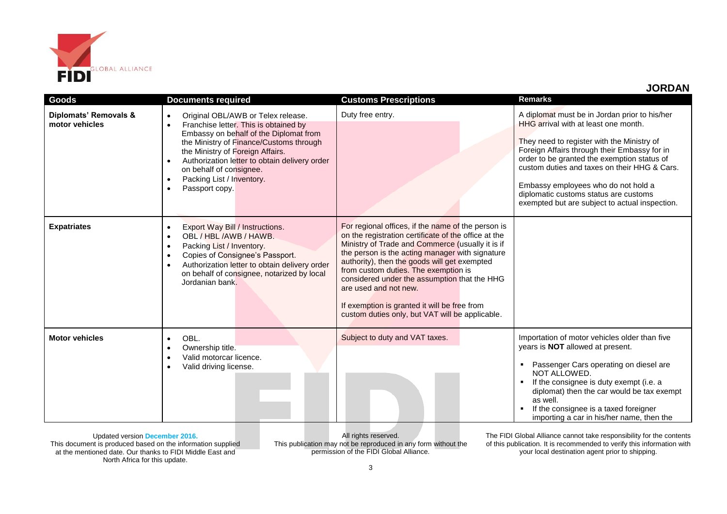

 **JORDAN**

| Goods                                   | <b>Documents required</b>                                                                                                                                                                                                                                                                                                                                              | <b>Customs Prescriptions</b>                                                                                                                                                                                                                                                                                                                                                                                                                                                          | <b>Remarks</b>                                                                                                                                                                                                                                                                                                                                                                                                       |
|-----------------------------------------|------------------------------------------------------------------------------------------------------------------------------------------------------------------------------------------------------------------------------------------------------------------------------------------------------------------------------------------------------------------------|---------------------------------------------------------------------------------------------------------------------------------------------------------------------------------------------------------------------------------------------------------------------------------------------------------------------------------------------------------------------------------------------------------------------------------------------------------------------------------------|----------------------------------------------------------------------------------------------------------------------------------------------------------------------------------------------------------------------------------------------------------------------------------------------------------------------------------------------------------------------------------------------------------------------|
| Diplomats' Removals &<br>motor vehicles | Original OBL/AWB or Telex release.<br>$\bullet$<br>Franchise letter. This is obtained by<br>$\bullet$<br>Embassy on behalf of the Diplomat from<br>the Ministry of Finance/Customs through<br>the Ministry of Foreign Affairs.<br>Authorization letter to obtain delivery order<br>on behalf of consignee.<br>Packing List / Inventory.<br>Passport copy.<br>$\bullet$ | Duty free entry.                                                                                                                                                                                                                                                                                                                                                                                                                                                                      | A diplomat must be in Jordan prior to his/her<br>HHG arrival with at least one month.<br>They need to register with the Ministry of<br>Foreign Affairs through their Embassy for in<br>order to be granted the exemption status of<br>custom duties and taxes on their HHG & Cars.<br>Embassy employees who do not hold a<br>diplomatic customs status are customs<br>exempted but are subject to actual inspection. |
| <b>Expatriates</b>                      | Export Way Bill / Instructions.<br>$\bullet$<br>OBL / HBL /AWB / HAWB.<br>$\bullet$<br>Packing List / Inventory.<br>$\bullet$<br>Copies of Consignee's Passport.<br>$\bullet$<br>Authorization letter to obtain delivery order<br>$\bullet$<br>on behalf of consignee, notarized by local<br>Jordanian bank.                                                           | For regional offices, if the name of the person is<br>on the registration certificate of the office at the<br>Ministry of Trade and Commerce (usually it is if<br>the person is the acting manager with signature<br>authority), then the goods will get exempted<br>from custom duties. The exemption is<br>considered under the assumption that the HHG<br>are used and not new.<br>If exemption is granted it will be free from<br>custom duties only, but VAT will be applicable. |                                                                                                                                                                                                                                                                                                                                                                                                                      |
| <b>Motor vehicles</b>                   | OBL.<br>$\bullet$<br>Ownership title.<br>$\bullet$<br>Valid motorcar licence.<br>$\bullet$<br>Valid driving license.<br>$\bullet$                                                                                                                                                                                                                                      | Subject to duty and VAT taxes.                                                                                                                                                                                                                                                                                                                                                                                                                                                        | Importation of motor vehicles older than five<br>years is NOT allowed at present.<br>Passenger Cars operating on diesel are<br>NOT ALLOWED.<br>If the consignee is duty exempt (i.e. a<br>diplomat) then the car would be tax exempt<br>as well.<br>If the consignee is a taxed foreigner<br>importing a car in his/her name, then the                                                                               |

Updated version **December 2016.** This document is produced based on the information supplied at the mentioned date. Our thanks to FIDI Middle East and North Africa for this update.

All rights reserved. This publication may not be reproduced in any form without the permission of the FIDI Global Alliance.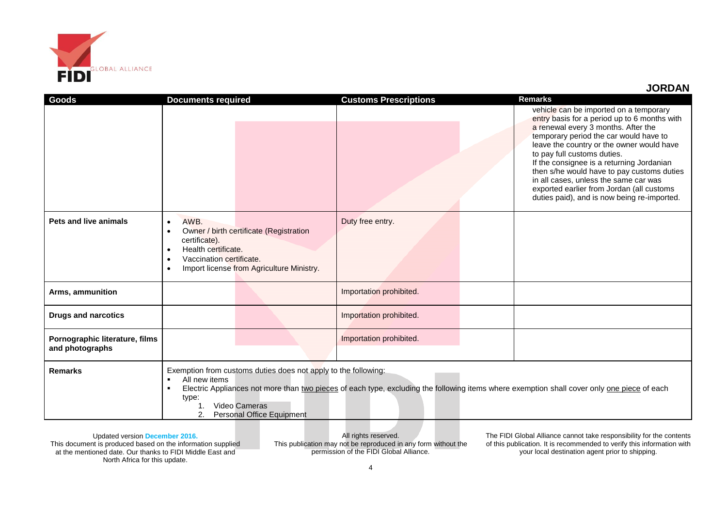

## **JORDAN**

| <b>Goods</b>                                      | <b>Documents required</b>                                                                                                                                                                                                                                                                                                       |                                                                                      | <b>Customs Prescriptions</b> |  | <b>Remarks</b>                                                                                                                                                                                                                                                                                                                                                                                                                                                                      |
|---------------------------------------------------|---------------------------------------------------------------------------------------------------------------------------------------------------------------------------------------------------------------------------------------------------------------------------------------------------------------------------------|--------------------------------------------------------------------------------------|------------------------------|--|-------------------------------------------------------------------------------------------------------------------------------------------------------------------------------------------------------------------------------------------------------------------------------------------------------------------------------------------------------------------------------------------------------------------------------------------------------------------------------------|
|                                                   |                                                                                                                                                                                                                                                                                                                                 |                                                                                      |                              |  | vehicle can be imported on a temporary<br>entry basis for a period up to 6 months with<br>a renewal every 3 months. After the<br>temporary period the car would have to<br>leave the country or the owner would have<br>to pay full customs duties.<br>If the consignee is a returning Jordanian<br>then s/he would have to pay customs duties<br>in all cases, unless the same car was<br>exported earlier from Jordan (all customs<br>duties paid), and is now being re-imported. |
| Pets and live animals                             | AWB.<br>$\bullet$<br>$\bullet$<br>certificate).<br>Health certificate.<br>$\bullet$<br>Vaccination certificate.<br>$\bullet$<br>$\bullet$                                                                                                                                                                                       | Owner / birth certificate (Registration<br>Import license from Agriculture Ministry. | Duty free entry.             |  |                                                                                                                                                                                                                                                                                                                                                                                                                                                                                     |
| Arms, ammunition                                  |                                                                                                                                                                                                                                                                                                                                 |                                                                                      | Importation prohibited.      |  |                                                                                                                                                                                                                                                                                                                                                                                                                                                                                     |
| <b>Drugs and narcotics</b>                        |                                                                                                                                                                                                                                                                                                                                 |                                                                                      | Importation prohibited.      |  |                                                                                                                                                                                                                                                                                                                                                                                                                                                                                     |
| Pornographic literature, films<br>and photographs |                                                                                                                                                                                                                                                                                                                                 |                                                                                      | Importation prohibited.      |  |                                                                                                                                                                                                                                                                                                                                                                                                                                                                                     |
| <b>Remarks</b>                                    | Exemption from customs duties does not apply to the following:<br>All new items<br>$\blacksquare$<br>Electric Appliances not more than two pieces of each type, excluding the following items where exemption shall cover only one piece of each<br>$\blacksquare$<br>type:<br>Video Cameras<br>1.<br>Personal Office Equipment |                                                                                      |                              |  |                                                                                                                                                                                                                                                                                                                                                                                                                                                                                     |

Updated version **December 2016.** This document is produced based on the information supplied at the mentioned date. Our thanks to FIDI Middle East and North Africa for this update.

All rights reserved. This publication may not be reproduced in any form without the permission of the FIDI Global Alliance.